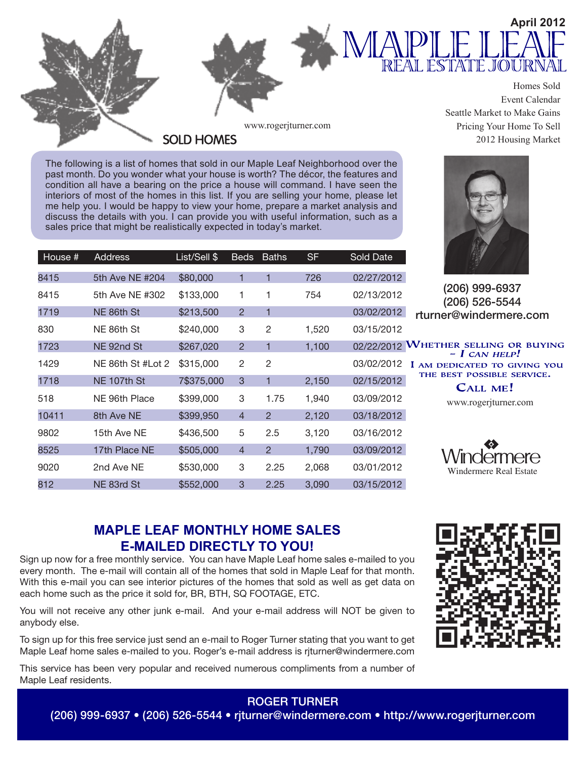

The following is a list of homes that sold in our Maple Leaf Neighborhood over the past month. Do you wonder what your house is worth? The décor, the features and condition all have a bearing on the price a house will command. I have seen the interiors of most of the homes in this list. If you are selling your home, please let me help you. I would be happy to view your home, prepare a market analysis and discuss the details with you. I can provide you with useful information, such as a sales price that might be realistically expected in today's market.

| House # | Address           | List/Sell \$ | <b>Beds</b>    | <b>Baths</b>   | SF    | Sold Date    |     |
|---------|-------------------|--------------|----------------|----------------|-------|--------------|-----|
| 8415    | 5th Ave NE #204   | \$80,000     | 1              | 1              | 726   | 02/27/2012   |     |
| 8415    | 5th Ave NE #302   | \$133,000    | 1              | 1              | 754   | 02/13/2012   |     |
| 1719    | NE 86th St        | \$213,500    | $\overline{2}$ | 1              |       | 03/02/2012   |     |
| 830     | NE 86th St        | \$240,000    | 3              | 2              | 1,520 | 03/15/2012   |     |
| 1723    | NE 92nd St        | \$267,020    | 2              | 1              | 1,100 | 02/22/2012 M |     |
| 1429    | NE 86th St #Lot 2 | \$315,000    | 2              | 2              |       | 03/02/2012   | - 1 |
| 1718    | NE 107th St       | 7\$375,000   | 3              | 1              | 2,150 | 02/15/2012   |     |
| 518     | NE 96th Place     | \$399,000    | 3              | 1.75           | 1,940 | 03/09/2012   |     |
| 10411   | 8th Ave NE        | \$399,950    | $\overline{4}$ | $\overline{2}$ | 2,120 | 03/18/2012   |     |
| 9802    | 15th Ave NE       | \$436,500    | 5              | 2.5            | 3,120 | 03/16/2012   |     |
| 8525    | 17th Place NE     | \$505,000    | $\overline{4}$ | $\mathcal{P}$  | 1,790 | 03/09/2012   |     |
| 9020    | 2nd Ave NE        | \$530,000    | 3              | 2.25           | 2,068 | 03/01/2012   |     |
| 812     | NE 83rd St        | \$552,000    | 3              | 2.25           | 3,090 | 03/15/2012   |     |



(206) 999-6937 (206) 526-5544 rturner@windermere.com

HETHER SELLING OR BUYING  $- I$  CAN HELP! AM DEDICATED TO GIVING YOU THE BEST POSSIBLE SERVICE. CALL ME!

www.rogerjturner.com



# **MAPLE LEAF MONTHLY HOME SALES E-MAILED DIRECTLY TO YOU!**

Sign up now for a free monthly service. You can have Maple Leaf home sales e-mailed to you every month. The e-mail will contain all of the homes that sold in Maple Leaf for that month. With this e-mail you can see interior pictures of the homes that sold as well as get data on each home such as the price it sold for, BR, BTH, SQ FOOTAGE, ETC.

You will not receive any other junk e-mail. And your e-mail address will NOT be given to anybody else.

To sign up for this free service just send an e-mail to Roger Turner stating that you want to get Maple Leaf home sales e-mailed to you. Roger's e-mail address is rjturner@windermere.com

This service has been very popular and received numerous compliments from a number of Maple Leaf residents.



# ROGER TURNER

(206) 999-6937 • (206) 526-5544 • rjturner@windermere.com • http://www.rogerjturner.com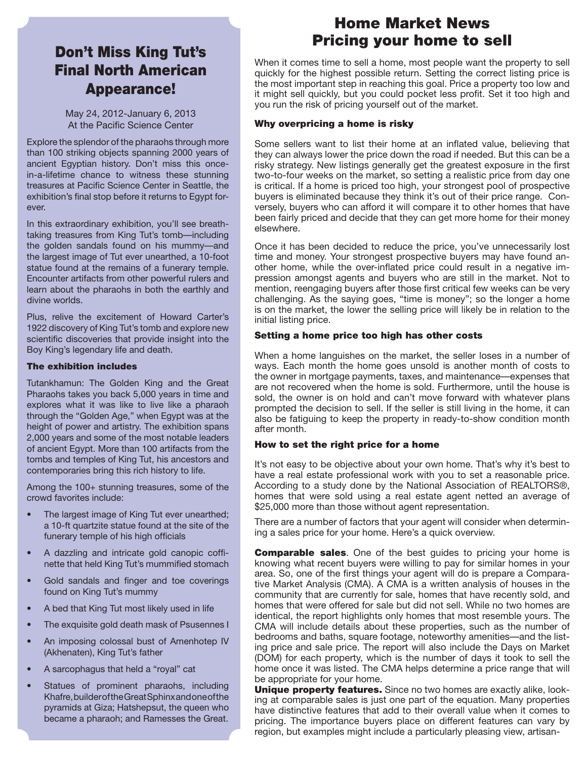# Don't Miss King Tut's Final North American Appearance!

May 24, 2012-January 6, 2013 At the Pacific Science Center

Explore the splendor of the pharaohs through more than 100 striking objects spanning 2000 years of ancient Egyptian history. Don't miss this oncein-a-lifetime chance to witness these stunning treasures at Pacific Science Center in Seattle, the exhibition's final stop before it returns to Egypt forever.

In this extraordinary exhibition, you'll see breathtaking treasures from King Tut's tomb—including the golden sandals found on his mummy—and the largest image of Tut ever unearthed, a 10-foot statue found at the remains of a funerary temple. Encounter artifacts from other powerful rulers and learn about the pharaohs in both the earthly and divine worlds.

Plus, relive the excitement of Howard Carter's 1922 discovery of King Tut's tomb and explore new scientific discoveries that provide insight into the Boy King's legendary life and death.

#### The exhibition includes

Tutankhamun: The Golden King and the Great Pharaohs takes you back 5,000 years in time and explores what it was like to live like a pharaoh through the "Golden Age," when Egypt was at the height of power and artistry. The exhibition spans 2,000 years and some of the most notable leaders of ancient Egypt. More than 100 artifacts from the tombs and temples of King Tut, his ancestors and contemporaries bring this rich history to life.

Among the 100+ stunning treasures, some of the crowd favorites include:

- The largest image of King Tut ever unearthed; a 10-ft quartzite statue found at the site of the funerary temple of his high officials
- A dazzling and intricate gold canopic coffinette that held King Tut's mummified stomach
- Gold sandals and finger and toe coverings found on King Tut's mummy
- A bed that King Tut most likely used in life
- The exquisite gold death mask of Psusennes I
- An imposing colossal bust of Amenhotep IV (Akhenaten), King Tut's father
- A sarcophagus that held a "royal" cat
- Statues of prominent pharaohs, including Khafre, builder of the Great Sphinx and one of the pyramids at Giza; Hatshepsut, the queen who became a pharaoh; and Ramesses the Great.

# Home Market News Pricing your home to sell

When it comes time to sell a home, most people want the property to sell quickly for the highest possible return. Setting the correct listing price is the most important step in reaching this goal. Price a property too low and it might sell quickly, but you could pocket less profit. Set it too high and you run the risk of pricing yourself out of the market.

#### Why overpricing a home is risky

Some sellers want to list their home at an inflated value, believing that they can always lower the price down the road if needed. But this can be a risky strategy. New listings generally get the greatest exposure in the first two-to-four weeks on the market, so setting a realistic price from day one is critical. If a home is priced too high, your strongest pool of prospective buyers is eliminated because they think it's out of their price range. Conversely, buyers who can afford it will compare it to other homes that have been fairly priced and decide that they can get more home for their money elsewhere.

Once it has been decided to reduce the price, you've unnecessarily lost time and money. Your strongest prospective buyers may have found another home, while the over-inflated price could result in a negative impression amongst agents and buyers who are still in the market. Not to mention, reengaging buyers after those first critical few weeks can be very challenging. As the saying goes, "time is money"; so the longer a home is on the market, the lower the selling price will likely be in relation to the initial listing price.

### Setting a home price too high has other costs

When a home languishes on the market, the seller loses in a number of ways. Each month the home goes unsold is another month of costs to the owner in mortgage payments, taxes, and maintenance—expenses that are not recovered when the home is sold. Furthermore, until the house is sold, the owner is on hold and can't move forward with whatever plans prompted the decision to sell. If the seller is still living in the home, it can also be fatiguing to keep the property in ready-to-show condition month after month.

## How to set the right price for a home

It's not easy to be objective about your own home. That's why it's best to have a real estate professional work with you to set a reasonable price. According to a study done by the National Association of REALTORS®, homes that were sold using a real estate agent netted an average of \$25,000 more than those without agent representation.

There are a number of factors that your agent will consider when determining a sales price for your home. Here's a quick overview.

**Comparable sales.** One of the best guides to pricing your home is knowing what recent buyers were willing to pay for similar homes in your area. So, one of the first things your agent will do is prepare a Comparative Market Analysis (CMA). A CMA is a written analysis of houses in the community that are currently for sale, homes that have recently sold, and homes that were offered for sale but did not sell. While no two homes are identical, the report highlights only homes that most resemble yours. The CMA will include details about these properties, such as the number of bedrooms and baths, square footage, noteworthy amenities—and the listing price and sale price. The report will also include the Days on Market (DOM) for each property, which is the number of days it took to sell the home once it was listed. The CMA helps determine a price range that will be appropriate for your home.

Unique property features. Since no two homes are exactly alike, looking at comparable sales is just one part of the equation. Many properties have distinctive features that add to their overall value when it comes to pricing. The importance buyers place on different features can vary by region, but examples might include a particularly pleasing view, artisan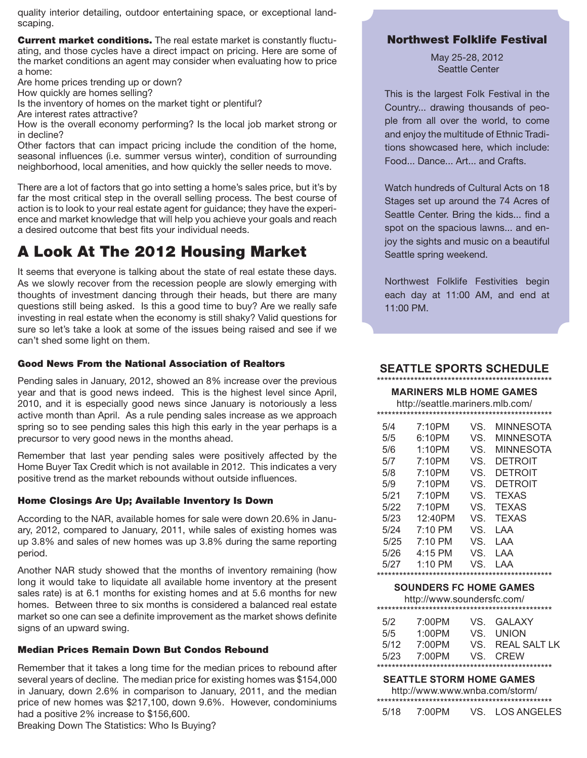quality interior detailing, outdoor entertaining space, or exceptional landscaping.

**Current market conditions.** The real estate market is constantly fluctuating, and those cycles have a direct impact on pricing. Here are some of the market conditions an agent may consider when evaluating how to price a home:

Are home prices trending up or down?

How quickly are homes selling?

Is the inventory of homes on the market tight or plentiful?

Are interest rates attractive?

How is the overall economy performing? Is the local job market strong or in decline?

Other factors that can impact pricing include the condition of the home, seasonal influences (i.e. summer versus winter), condition of surrounding neighborhood, local amenities, and how quickly the seller needs to move.

There are a lot of factors that go into setting a home's sales price, but it's by far the most critical step in the overall selling process. The best course of action is to look to your real estate agent for guidance; they have the experience and market knowledge that will help you achieve your goals and reach a desired outcome that best fits your individual needs.

# A Look At The 2012 Housing Market

It seems that everyone is talking about the state of real estate these days. As we slowly recover from the recession people are slowly emerging with thoughts of investment dancing through their heads, but there are many questions still being asked. Is this a good time to buy? Are we really safe investing in real estate when the economy is still shaky? Valid questions for sure so let's take a look at some of the issues being raised and see if we can't shed some light on them.

#### Good News From the National Association of Realtors

Pending sales in January, 2012, showed an 8% increase over the previous year and that is good news indeed. This is the highest level since April, 2010, and it is especially good news since January is notoriously a less active month than April. As a rule pending sales increase as we approach spring so to see pending sales this high this early in the year perhaps is a precursor to very good news in the months ahead.

Remember that last year pending sales were positively affected by the Home Buyer Tax Credit which is not available in 2012. This indicates a very positive trend as the market rebounds without outside influences.

#### Home Closings Are Up; Available Inventory Is Down

According to the NAR, available homes for sale were down 20.6% in January, 2012, compared to January, 2011, while sales of existing homes was up 3.8% and sales of new homes was up 3.8% during the same reporting period.

Another NAR study showed that the months of inventory remaining (how long it would take to liquidate all available home inventory at the present sales rate) is at 6.1 months for existing homes and at 5.6 months for new homes. Between three to six months is considered a balanced real estate market so one can see a definite improvement as the market shows definite signs of an upward swing.

#### Median Prices Remain Down But Condos Rebound

Remember that it takes a long time for the median prices to rebound after several years of decline. The median price for existing homes was \$154,000 in January, down 2.6% in comparison to January, 2011, and the median price of new homes was \$217,100, down 9.6%. However, condominiums had a positive 2% increase to \$156,600.

Breaking Down The Statistics: Who Is Buying?

## Northwest Folklife Festival

May 25-28, 2012 Seattle Center

This is the largest Folk Festival in the Country... drawing thousands of people from all over the world, to come and enjoy the multitude of Ethnic Traditions showcased here, which include: Food... Dance... Art... and Crafts.

Watch hundreds of Cultural Acts on 18 Stages set up around the 74 Acres of Seattle Center. Bring the kids... find a spot on the spacious lawns... and enjoy the sights and music on a beautiful Seattle spring weekend.

Northwest Folklife Festivities begin each day at 11:00 AM, and end at 11:00 PM.

#### **SEATTLE SPORTS SCHEDULE** \*\*\*\*\*\*\*\*\*\*\*\*\*\*\*\*\*\*\*\*\*\*\*\*\*\*\*\*\*\*\*\*\*\*\*\*\*\*\*\*\*\*\*\*\*\*\*

#### **MARINERS MLB HOME GAMES**

| http://seattle.mariners.mlb.com/ |           |     |              |  |  |  |  |
|----------------------------------|-----------|-----|--------------|--|--|--|--|
|                                  |           |     |              |  |  |  |  |
| 5/4                              | 7:10PM    | VS. | MINNESOTA    |  |  |  |  |
| 5/5                              | 6:10PM    | VS. | MINNESOTA    |  |  |  |  |
| 5/6                              | 1:10PM    | VS. | MINNESOTA    |  |  |  |  |
| 5/7                              | 7:10PM    | VS. | DETROIT      |  |  |  |  |
| 5/8                              | 7:10PM    | VS. | DETROIT      |  |  |  |  |
| 5/9                              | 7:10PM    | VS. | DETROIT      |  |  |  |  |
| 5/21                             | 7:10PM    | VS. | <b>TFXAS</b> |  |  |  |  |
| 5/22                             | 7:10PM    | VS. | <b>TEXAS</b> |  |  |  |  |
| 5/23                             | 12:40PM   | VS. | <b>TEXAS</b> |  |  |  |  |
| 5/24                             | $7.10$ PM | VS. | I AA         |  |  |  |  |
| 5/25                             | 7:10 PM   | VS. | LAA          |  |  |  |  |
| 5/26                             | 4:15 PM   | VS. | LAA          |  |  |  |  |
| 5/27                             | 1.10 PM   | VS. | l AA         |  |  |  |  |
|                                  |           |     |              |  |  |  |  |

#### **SOUNDERS FC HOME GAMES**

http://www.soundersfc.com/

| $-1$ |  |  |  | . |  |  |  |
|------|--|--|--|---|--|--|--|
|      |  |  |  |   |  |  |  |
|      |  |  |  |   |  |  |  |

| 5/2  | 7:00PM           |  | VS. GALAXY      |  |  |  |  |
|------|------------------|--|-----------------|--|--|--|--|
| 5/5  | 1:00PM           |  | VS. UNION       |  |  |  |  |
| 5/12 | $7.00 \text{PM}$ |  | VS. REAL SALTIK |  |  |  |  |
| 5/23 | 7:00PM           |  | VS CREW         |  |  |  |  |
|      |                  |  |                 |  |  |  |  |

#### **SEATTLE STORM HOME GAMES**

http://www.www.wnba.com/storm/

| 5/18 | 7:00PM |  | VS. LOS ANGELES |  |  |  |  |
|------|--------|--|-----------------|--|--|--|--|